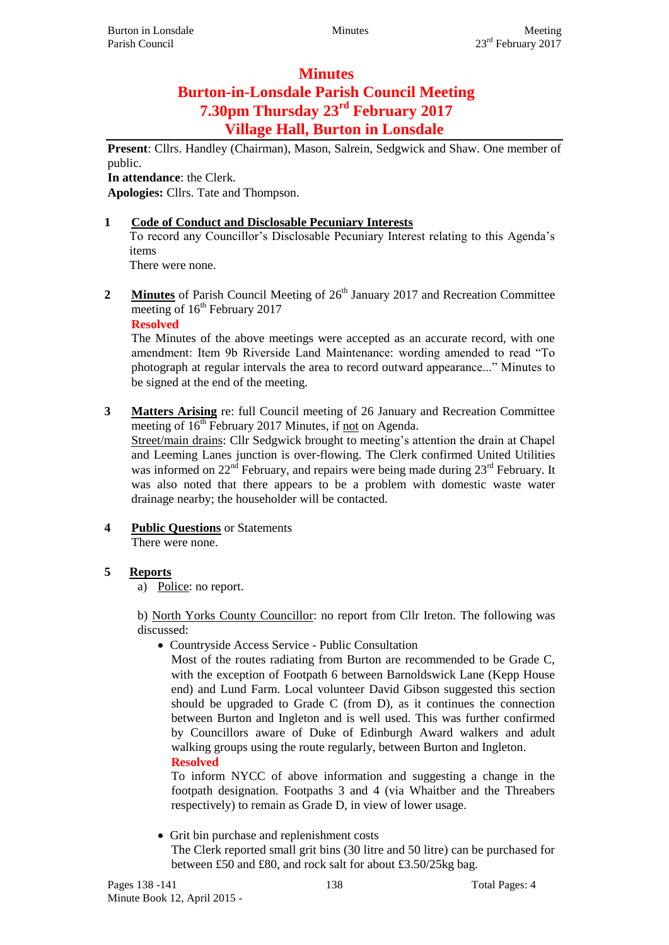# **Minutes**

# **Burton-in-Lonsdale Parish Council Meeting 7.30pm Thursday 23rd February 2017 Village Hall, Burton in Lonsdale**

**Present**: Cllrs. Handley (Chairman), Mason, Salrein, Sedgwick and Shaw. One member of public. **In attendance**: the Clerk.

**Apologies:** Cllrs. Tate and Thompson.

# **1 Code of Conduct and Disclosable Pecuniary Interests**

To record any Councillor's Disclosable Pecuniary Interest relating to this Agenda's items

There were none.

2 **Minutes** of Parish Council Meeting of 26<sup>th</sup> January 2017 and Recreation Committee meeting of  $16<sup>th</sup>$  February 2017

**Resolved**

The Minutes of the above meetings were accepted as an accurate record, with one amendment: Item 9b Riverside Land Maintenance: wording amended to read "To photograph at regular intervals the area to record outward appearance..." Minutes to be signed at the end of the meeting.

**3 Matters Arising** re: full Council meeting of 26 January and Recreation Committee meeting of 16<sup>th</sup> February 2017 Minutes, if not on Agenda.

Street/main drains: Cllr Sedgwick brought to meeting's attention the drain at Chapel and Leeming Lanes junction is over-flowing. The Clerk confirmed United Utilities was informed on  $22<sup>nd</sup>$  February, and repairs were being made during  $23<sup>rd</sup>$  February. It was also noted that there appears to be a problem with domestic waste water drainage nearby; the householder will be contacted.

**4 Public Questions** or Statements There were none.

# **5 Reports**

a) Police: no report.

b) North Yorks County Councillor: no report from Cllr Ireton. The following was discussed:

Countryside Access Service - Public Consultation

Most of the routes radiating from Burton are recommended to be Grade C, with the exception of Footpath 6 between Barnoldswick Lane (Kepp House end) and Lund Farm. Local volunteer David Gibson suggested this section should be upgraded to Grade C (from D), as it continues the connection between Burton and Ingleton and is well used. This was further confirmed by Councillors aware of Duke of Edinburgh Award walkers and adult walking groups using the route regularly, between Burton and Ingleton. **Resolved**

To inform NYCC of above information and suggesting a change in the footpath designation. Footpaths 3 and 4 (via Whaitber and the Threabers respectively) to remain as Grade D, in view of lower usage.

 Grit bin purchase and replenishment costs The Clerk reported small grit bins (30 litre and 50 litre) can be purchased for between £50 and £80, and rock salt for about £3.50/25kg bag.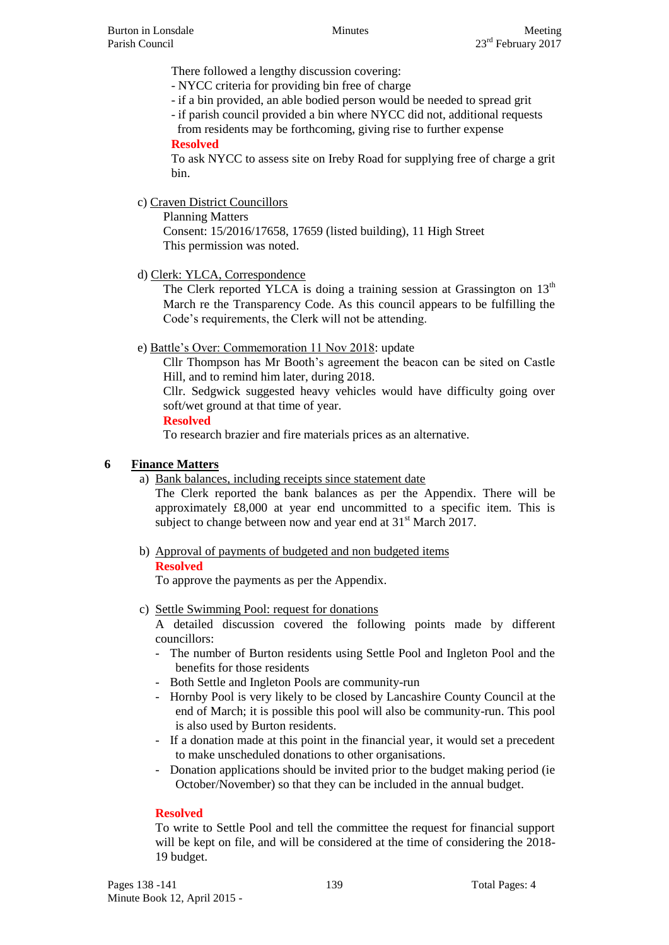- There followed a lengthy discussion covering:
- NYCC criteria for providing bin free of charge
- if a bin provided, an able bodied person would be needed to spread grit

- if parish council provided a bin where NYCC did not, additional requests from residents may be forthcoming, giving rise to further expense **Resolved**

To ask NYCC to assess site on Ireby Road for supplying free of charge a grit bin.

### c) Craven District Councillors

Planning Matters

Consent: 15/2016/17658, 17659 (listed building), 11 High Street This permission was noted.

d) Clerk: YLCA, Correspondence

The Clerk reported YLCA is doing a training session at Grassington on  $13<sup>th</sup>$ March re the Transparency Code. As this council appears to be fulfilling the Code's requirements, the Clerk will not be attending.

#### e) Battle's Over: Commemoration 11 Nov 2018: update

Cllr Thompson has Mr Booth's agreement the beacon can be sited on Castle Hill, and to remind him later, during 2018.

Cllr. Sedgwick suggested heavy vehicles would have difficulty going over soft/wet ground at that time of year.

#### **Resolved**

To research brazier and fire materials prices as an alternative.

#### **6 Finance Matters**

a) Bank balances, including receipts since statement date

The Clerk reported the bank balances as per the Appendix. There will be approximately £8,000 at year end uncommitted to a specific item. This is subject to change between now and year end at  $31<sup>st</sup>$  March 2017.

b) Approval of payments of budgeted and non budgeted items

#### **Resolved**

To approve the payments as per the Appendix.

c) Settle Swimming Pool: request for donations

A detailed discussion covered the following points made by different councillors:

- The number of Burton residents using Settle Pool and Ingleton Pool and the benefits for those residents
- Both Settle and Ingleton Pools are community-run
- Hornby Pool is very likely to be closed by Lancashire County Council at the end of March; it is possible this pool will also be community-run. This pool is also used by Burton residents.
- If a donation made at this point in the financial year, it would set a precedent to make unscheduled donations to other organisations.
- Donation applications should be invited prior to the budget making period (ie October/November) so that they can be included in the annual budget.

### **Resolved**

To write to Settle Pool and tell the committee the request for financial support will be kept on file, and will be considered at the time of considering the 2018- 19 budget.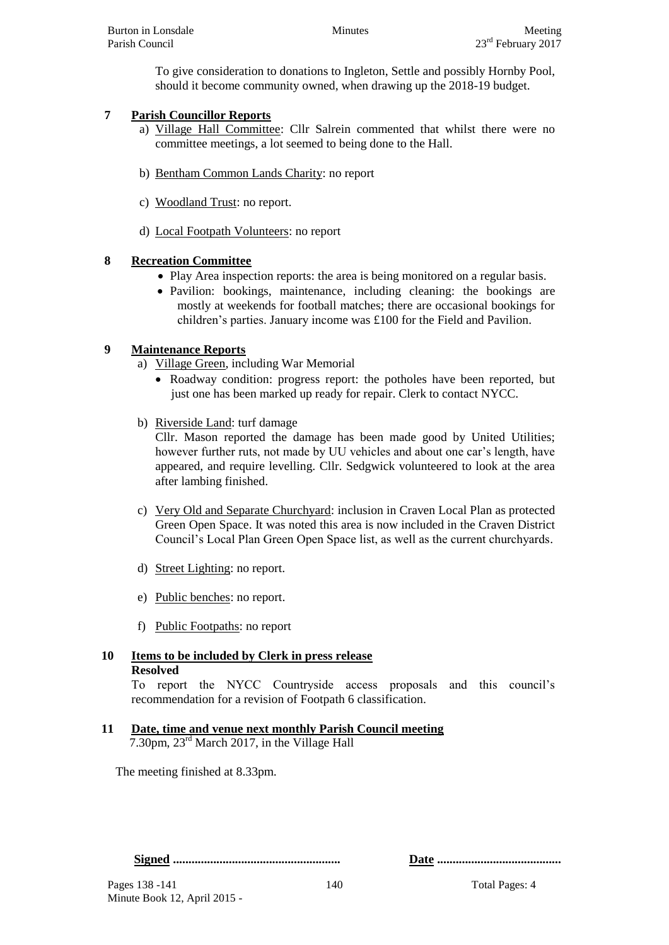To give consideration to donations to Ingleton, Settle and possibly Hornby Pool, should it become community owned, when drawing up the 2018-19 budget.

# **7 Parish Councillor Reports**

- a) Village Hall Committee: Cllr Salrein commented that whilst there were no committee meetings, a lot seemed to being done to the Hall.
- b) Bentham Common Lands Charity: no report
- c) Woodland Trust: no report.
- d) Local Footpath Volunteers: no report

# **8 Recreation Committee**

- Play Area inspection reports: the area is being monitored on a regular basis.
- Pavilion: bookings, maintenance, including cleaning: the bookings are mostly at weekends for football matches; there are occasional bookings for children's parties. January income was £100 for the Field and Pavilion.

# **9 Maintenance Reports**

- a) Village Green, including War Memorial
	- Roadway condition: progress report: the potholes have been reported, but just one has been marked up ready for repair. Clerk to contact NYCC.
- b) Riverside Land: turf damage

Cllr. Mason reported the damage has been made good by United Utilities; however further ruts, not made by UU vehicles and about one car's length, have appeared, and require levelling. Cllr. Sedgwick volunteered to look at the area after lambing finished.

- c) Very Old and Separate Churchyard: inclusion in Craven Local Plan as protected Green Open Space. It was noted this area is now included in the Craven District Council's Local Plan Green Open Space list, as well as the current churchyards.
- d) Street Lighting: no report.
- e) Public benches: no report.
- f) Public Footpaths: no report

# **10 Items to be included by Clerk in press release Resolved**

To report the NYCC Countryside access proposals and this council's recommendation for a revision of Footpath 6 classification.

# **11 Date, time and venue next monthly Parish Council meeting**

7.30pm, 23rd March 2017, in the Village Hall

The meeting finished at 8.33pm.

**Signed ...................................................... Date ........................................**